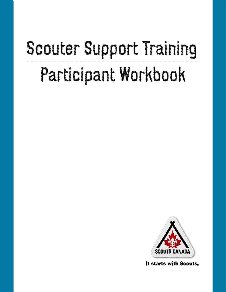# Scouter Support Training Participant Workbook



It starts with Scouts.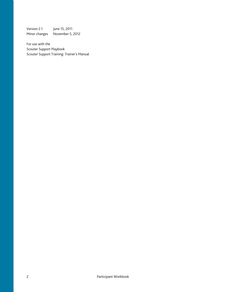Version 2.1 June 15, 2011 Minor changes November 5, 2012

For use with the Scouter Support Playbook Scouter Support Training: Trainer's Manual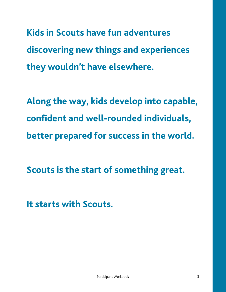**Kids in Scouts have fun adventures discovering new things and experiences they wouldn't have elsewhere.** 

**Along the way, kids develop into capable, confident and well-rounded individuals, better prepared for success in the world.** 

**Scouts is the start of something great.** 

**It starts with Scouts.**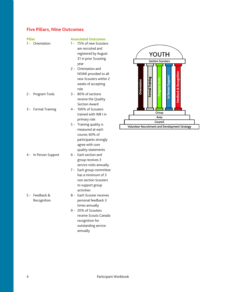### **Five Pillars, Nine Outcomes**

| <b>Pillar</b> |                       |       | <b>Associated Outcome</b> |
|---------------|-----------------------|-------|---------------------------|
|               | 1- Orientation        | $1 -$ | 75% of new Scou           |
|               |                       |       | are recruited and         |
|               |                       |       | registered by Aug         |
|               |                       |       | 31 in prior Scouti        |
|               |                       |       | year                      |
|               |                       |       | 2 - Orientation and       |
|               |                       |       | NSWK provided t           |
|               |                       |       | new Scouters wit          |
|               |                       |       | weeks of acceptir         |
|               |                       |       | role                      |
|               | 2 - Program Tools     | 3 -   | 80% of sections           |
|               |                       |       | receive the Quali         |
|               |                       |       | Section Award             |
|               | 3 - Formal Training   |       | 4 - 100% of Scouters      |
|               |                       |       | trained with WB I         |
|               |                       |       | primary role              |
|               |                       | $5 -$ | Training quality is       |
|               |                       |       | measured at each          |
|               |                       |       | course; 60% of            |
|               |                       |       | participants stron        |
|               |                       |       | agree with core           |
|               |                       |       | quality statement         |
|               | 4 - In Person Support |       | 6 - Each section and      |
|               |                       |       | group receives 3          |
|               |                       |       | service visits annu       |
|               |                       |       | 7 - Each group comn       |
|               |                       |       | has a minimum o           |
|               |                       |       | non section Scou          |
|               |                       |       | to support group          |
|               |                       |       | activities                |
|               | 5 - Feedback &        |       | 8 - Each Scouter rece     |
|               | Recognition           |       | personal feedbacl         |
|               |                       |       | times annually            |
|               |                       | 9 -   | 20% of Scouters           |
|               |                       |       | receive Scouts Ca         |
|               |                       |       | recognition for           |
|               |                       |       | outstanding servi         |
|               |                       |       | annually                  |



- ed and by August Scouting
- n and vided to all ers within 2 ccepting
- ctions Quality vard
- couters  $th$  WB I in le
- ality is at each  $%$  of s strongly core tements
- ives 3 ts annually
- committee mum of 3 n Scouters group
- ter receives edback 3 ially
- outers outs Canada n for g service annually

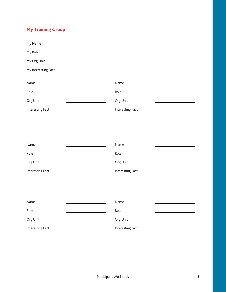## **My Training Group**

| My Name             |                  |  |
|---------------------|------------------|--|
| My Role             |                  |  |
| My Org Unit         |                  |  |
| My Interesting Fact |                  |  |
|                     |                  |  |
| Name                | Name             |  |
| Role                | Role             |  |
| Org Unit            | Org Unit         |  |
| Interesting Fact    | Interesting Fact |  |

| Name             | Name             |
|------------------|------------------|
| Role             | Role             |
| Org Unit         | Org Unit         |
| Interesting Fact | Interesting Fact |

| Name             | Name             |  |
|------------------|------------------|--|
| Role             | Role             |  |
| Org Unit         | Org Unit         |  |
| Interesting Fact | Interesting Fact |  |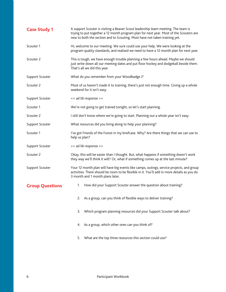| <b>Case Study 1</b>    | A support Scouter is visiting a Beaver Scout leadership team meeting. The team is<br>trying to put together a 12 month program plan for next year. Most of the Scouters are<br>new to both the section and to Scouting. Most have not taken training yet. |  |  |
|------------------------|-----------------------------------------------------------------------------------------------------------------------------------------------------------------------------------------------------------------------------------------------------------|--|--|
| Scouter 1              | Hi, welcome to our meeting. We sure could use your help. We were looking at the<br>program quality standards, and realized we need to have a 12 month plan for next year.                                                                                 |  |  |
| Scouter 2              | This is tough, we have enough trouble planning a few hours ahead. Maybe we should<br>just write down all our meeting dates and put floor hockey and dodgeball beside them.<br>That's all we did this year.                                                |  |  |
| Support Scouter        | What do you remember from your Woodbadge I?                                                                                                                                                                                                               |  |  |
| Scouter 2              | Most of us haven't made it to training, there's just not enough time. Giving up a whole<br>weekend for it isn't easy.                                                                                                                                     |  |  |
| Support Scouter        | << ad lib response >>                                                                                                                                                                                                                                     |  |  |
| Scouter 1              | We're not going to get trained tonight, so let's start planning.                                                                                                                                                                                          |  |  |
| Scouter 2              | I still don't know where we're going to start. Planning out a whole year isn't easy.                                                                                                                                                                      |  |  |
| Support Scouter        | What resources did you bring along to help your planning?                                                                                                                                                                                                 |  |  |
| Scouter 1              | I've got Friends of the Forest in my briefcase. Why? Are there things that we can use to<br>help us plan?                                                                                                                                                 |  |  |
| Support Scouter        | << ad lib response >>                                                                                                                                                                                                                                     |  |  |
| Scouter 2              | Okay, this will be easier than I thought. But, what happens if something doesn't work<br>they way we'll think it will? Or, what if something comes up at the last minute?                                                                                 |  |  |
| Support Scouter        | Your 12 month plan will have big events like camps, outings, service projects, and group<br>activities. There should be room to be flexible in it. You'll add in more details as you do<br>3 month and 1 month plans later.                               |  |  |
| <b>Group Questions</b> | How did your Support Scouter answer the question about training?<br>1.                                                                                                                                                                                    |  |  |
|                        | As a group, can you think of flexible ways to deliver training?<br>2.                                                                                                                                                                                     |  |  |
|                        | Which program planning resources did your Support Scouter talk about?<br>3.                                                                                                                                                                               |  |  |
|                        | As a group, which other ones can you think of?<br>4.                                                                                                                                                                                                      |  |  |
|                        | What are the top three resources this section could use?<br>5.                                                                                                                                                                                            |  |  |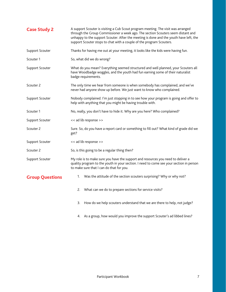| <b>Case Study 2</b>    | A support Scouter is visiting a Cub Scout program meeting. The visit was arranged<br>through the Group Commissioner a week ago. The section Scouters seem distant and<br>unhappy to the support Scouter. After the meeting is done and the youth have left, the<br>support Scouter stops to chat with a couple of the program Scouters. |  |  |
|------------------------|-----------------------------------------------------------------------------------------------------------------------------------------------------------------------------------------------------------------------------------------------------------------------------------------------------------------------------------------|--|--|
| Support Scouter        | Thanks for having me out at your meeting, it looks like the kids were having fun.                                                                                                                                                                                                                                                       |  |  |
| Scouter 1              | So, what did we do wrong?                                                                                                                                                                                                                                                                                                               |  |  |
| Support Scouter        | What do you mean? Everything seemed structured and well planned, your Scouters all<br>have Woodbadge woggles, and the youth had fun earning some of their naturalist<br>badge requirements.                                                                                                                                             |  |  |
| Scouter 2              | The only time we hear from someone is when somebody has complained, and we've<br>never had anyone show up before. We just want to know who complained.                                                                                                                                                                                  |  |  |
| Support Scouter        | Nobody complained. I'm just stopping in to see how your program is going and offer to<br>help with anything that you might be having trouble with.                                                                                                                                                                                      |  |  |
| Scouter 1              | No, really, you don't have to hide it. Why are you here? Who complained?                                                                                                                                                                                                                                                                |  |  |
| Support Scouter        | << ad lib response >>                                                                                                                                                                                                                                                                                                                   |  |  |
| Scouter 2              | Sure. So, do you have a report card or something to fill out? What kind of grade did we<br>get?                                                                                                                                                                                                                                         |  |  |
| Support Scouter        | << ad lib response >>                                                                                                                                                                                                                                                                                                                   |  |  |
| Scouter 2              | So, is this going to be a regular thing then?                                                                                                                                                                                                                                                                                           |  |  |
| Support Scouter        | My role is to make sure you have the support and resources you need to deliver a<br>quality program to the youth in your section. I need to come see your section in person<br>to make sure that I can do that for you.                                                                                                                 |  |  |
| <b>Group Questions</b> | Was the attitude of the section scouters surprising? Why or why not?<br>1.                                                                                                                                                                                                                                                              |  |  |
|                        | What can we do to prepare sections for service visits?<br>2.                                                                                                                                                                                                                                                                            |  |  |
|                        | How do we help scouters understand that we are there to help, not judge?<br>3.                                                                                                                                                                                                                                                          |  |  |
|                        | 4. As a group, how would you improve the support Scouter's ad libbed lines?                                                                                                                                                                                                                                                             |  |  |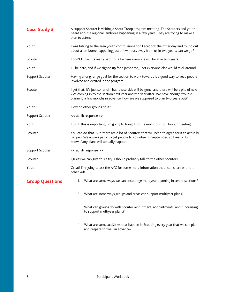| <b>Case Study 3</b>    | A support Scouter is visiting a Scout Troop program meeting. The Scouters and youth<br>heard about a regional jamboree happening in a few years. They are trying to make a<br>plan to attend.                                                                         |  |  |
|------------------------|-----------------------------------------------------------------------------------------------------------------------------------------------------------------------------------------------------------------------------------------------------------------------|--|--|
| Youth                  | I was talking to the area youth commissioner on Facebook the other day and found out<br>about a jamboree happening just a few hours away from us in two years, can we go?                                                                                             |  |  |
| Scouter                | I don't know. It's really hard to tell where everyone will be at in two years.                                                                                                                                                                                        |  |  |
| Youth                  | I'll be here, and if we signed up for a jamboree, I bet everyone else would stick around.                                                                                                                                                                             |  |  |
| Support Scouter        | Having a long range goal for the section to work towards is a good way to keep people<br>involved and excited in the program.                                                                                                                                         |  |  |
| Scouter                | I get that. It's just so far off, half these kids will be gone, and there will be a pile of new<br>kids coming in to the section next year and the year after. We have enough trouble<br>planning a few months in advance, how are we supposed to plan two years out? |  |  |
| Youth                  | How do other groups do it?                                                                                                                                                                                                                                            |  |  |
| Support Scouter        | << ad lib response >>                                                                                                                                                                                                                                                 |  |  |
| Youth                  | I think this is important, I'm going to bring it to the next Court of Honour meeting.                                                                                                                                                                                 |  |  |
| Scouter                | You can do that. But, there are a lot of Scouters that will need to agree for it to actually<br>happen. We always panic to get people to volunteer in September, so I really don't<br>know if any plans will actually happen.                                         |  |  |
| Support Scouter        | << ad lib response >>                                                                                                                                                                                                                                                 |  |  |
| Scouter                | I guess we can give this a try. I should probably talk to the other Scouters.                                                                                                                                                                                         |  |  |
| Youth                  | Great! I'm going to ask the AYC for some more information that I can share with the<br>other kids.                                                                                                                                                                    |  |  |
| <b>Group Questions</b> | What are some ways we can encourage multiyear planning in senior sections?<br>1.                                                                                                                                                                                      |  |  |
|                        | What are some ways groups and areas can support multiyear plans?<br>2.                                                                                                                                                                                                |  |  |
|                        | What can groups do with Scouter recruitment, appointments, and fundraising<br>3.<br>to support multiyear plans?                                                                                                                                                       |  |  |
|                        | What are some activities that happen in Scouting every year that we can plan<br>4.<br>and prepare for well in advance?                                                                                                                                                |  |  |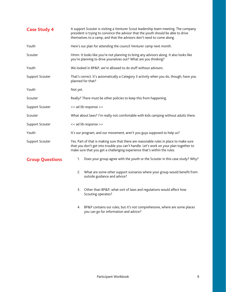| <b>Case Study 4</b>    | A support Scouter is visiting a Venturer Scout leadership team meeting. The company<br>president is trying to convince the advisor that the youth should be able to drive<br>themselves to a camp, and that the advisors don't need to come along.          |  |  |
|------------------------|-------------------------------------------------------------------------------------------------------------------------------------------------------------------------------------------------------------------------------------------------------------|--|--|
| Youth                  | Here's our plan for attending the council Venturer camp next month.                                                                                                                                                                                         |  |  |
| Scouter                | Hmm. It looks like you're not planning to bring any advisors along. It also looks like<br>you're planning to drive yourselves out? What are you thinking?                                                                                                   |  |  |
| Youth                  | We looked in BP&P, we're allowed to do stuff without advisors.                                                                                                                                                                                              |  |  |
| Support Scouter        | That's correct. It's automatically a Category 3 activity when you do, though, have you<br>planned for that?                                                                                                                                                 |  |  |
| Youth                  | Not yet.                                                                                                                                                                                                                                                    |  |  |
| Scouter                | Really? There must be other policies to keep this from happening.                                                                                                                                                                                           |  |  |
| Support Scouter        | << ad lib response >>                                                                                                                                                                                                                                       |  |  |
| Scouter                | What about laws? I'm really not comfortable with kids camping without adults there.                                                                                                                                                                         |  |  |
| Support Scouter        | << ad lib response >>                                                                                                                                                                                                                                       |  |  |
| Youth                  | It's our program, and our movement, aren't you guys supposed to help us?                                                                                                                                                                                    |  |  |
| Support Scouter        | Yes. Part of that is making sure that there are reasonable rules in place to make sure<br>that you don't get into trouble you can't handle. Let's work on your plan together to<br>make sure that you get a challenging experience that's within the rules. |  |  |
| <b>Group Questions</b> | Does your group agree with the youth or the Scouter in this case study? Why?<br>1.                                                                                                                                                                          |  |  |
|                        | What are some other support scenarios where your group would benefit from<br>2.<br>outside guidance and advice?                                                                                                                                             |  |  |
|                        | Other than BP&P, what sort of laws and regulations would affect how<br>3.<br>Scouting operates?                                                                                                                                                             |  |  |

4. BP&P contains our rules, but it's not comprehensive, where are some places you can go for information and advice?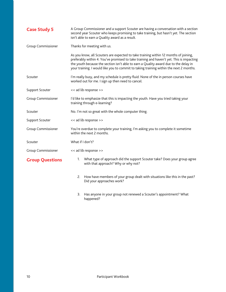| <b>Case Study 5</b>    | A Group Commissioner and a support Scouter are having a conversation with a section<br>second year Scouter who keeps promising to take training, but hasn't yet. The section<br>isn't able to earn a Quality award as a result.                                                                                                                                    |  |  |
|------------------------|--------------------------------------------------------------------------------------------------------------------------------------------------------------------------------------------------------------------------------------------------------------------------------------------------------------------------------------------------------------------|--|--|
| Group Commissioner     | Thanks for meeting with us.                                                                                                                                                                                                                                                                                                                                        |  |  |
|                        | As you know, all Scouters are expected to take training within 12 months of joining,<br>preferably within 4. You've promised to take training and haven't yet. This is impacting<br>the youth because the section isn't able to earn a Quality award due to the delay in<br>your training. I would like you to commit to taking training within the next 2 months. |  |  |
| Scouter                | I'm really busy, and my schedule is pretty fluid. None of the in person courses have<br>worked out for me. I sign up then need to cancel.                                                                                                                                                                                                                          |  |  |
| Support Scouter        | << ad lib response >>                                                                                                                                                                                                                                                                                                                                              |  |  |
| Group Commissioner     | I'd like to emphasize that this is impacting the youth. Have you tried taking your<br>training through e-learning?                                                                                                                                                                                                                                                 |  |  |
| Scouter                | No. I'm not so great with the whole computer thing.                                                                                                                                                                                                                                                                                                                |  |  |
| Support Scouter        | << ad lib response >>                                                                                                                                                                                                                                                                                                                                              |  |  |
| Group Commissioner     | You're overdue to complete your training, I'm asking you to complete it sometime<br>within the next 2 months.                                                                                                                                                                                                                                                      |  |  |
| Scouter                | What if I don't?                                                                                                                                                                                                                                                                                                                                                   |  |  |
| Group Commissioner     | << ad lib response >>                                                                                                                                                                                                                                                                                                                                              |  |  |
| <b>Group Questions</b> | What type of approach did the support Scouter take? Does your group agree<br>1.<br>with that approach? Why or why not?                                                                                                                                                                                                                                             |  |  |
|                        | How have members of your group dealt with situations like this in the past?<br>2.<br>Did your approaches work?                                                                                                                                                                                                                                                     |  |  |

3. Has anyone in your group not renewed a Scouter's appointment? What happened?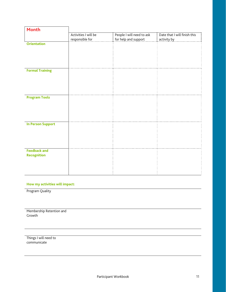| <b>Month</b>             |                                         |                                                   |                                             |
|--------------------------|-----------------------------------------|---------------------------------------------------|---------------------------------------------|
|                          | Activities I will be<br>responsible for | People I will need to ask<br>for help and support | Date that I will finish this<br>activity by |
| <b>Orientation</b>       |                                         |                                                   |                                             |
|                          |                                         |                                                   |                                             |
|                          |                                         |                                                   |                                             |
|                          |                                         |                                                   |                                             |
|                          |                                         |                                                   |                                             |
| <b>Formal Training</b>   |                                         |                                                   |                                             |
|                          |                                         |                                                   |                                             |
|                          |                                         |                                                   |                                             |
|                          |                                         |                                                   |                                             |
|                          |                                         |                                                   |                                             |
| <b>Program Tools</b>     |                                         |                                                   |                                             |
|                          |                                         |                                                   |                                             |
|                          |                                         |                                                   |                                             |
|                          |                                         |                                                   |                                             |
|                          |                                         |                                                   |                                             |
| <b>In Person Support</b> |                                         |                                                   |                                             |
|                          |                                         |                                                   |                                             |
|                          |                                         |                                                   |                                             |
|                          |                                         |                                                   |                                             |
|                          |                                         |                                                   |                                             |
| <b>Feedback and</b>      |                                         |                                                   |                                             |
| <b>Recognition</b>       |                                         |                                                   |                                             |
|                          |                                         |                                                   |                                             |
|                          |                                         |                                                   |                                             |
|                          |                                         |                                                   |                                             |

Program Quality

Membership Retention and Growth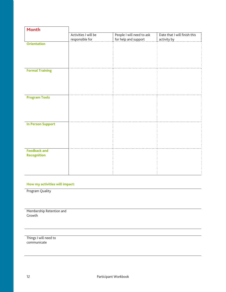| <b>Month</b>             |                                         |                                                   |                                             |
|--------------------------|-----------------------------------------|---------------------------------------------------|---------------------------------------------|
|                          | Activities I will be<br>responsible for | People I will need to ask<br>for help and support | Date that I will finish this<br>activity by |
| <b>Orientation</b>       |                                         |                                                   |                                             |
|                          |                                         |                                                   |                                             |
|                          |                                         |                                                   |                                             |
|                          |                                         |                                                   |                                             |
|                          |                                         |                                                   |                                             |
| <b>Formal Training</b>   |                                         |                                                   |                                             |
|                          |                                         |                                                   |                                             |
|                          |                                         |                                                   |                                             |
|                          |                                         |                                                   |                                             |
|                          |                                         |                                                   |                                             |
| <b>Program Tools</b>     |                                         |                                                   |                                             |
|                          |                                         |                                                   |                                             |
|                          |                                         |                                                   |                                             |
|                          |                                         |                                                   |                                             |
|                          |                                         |                                                   |                                             |
| <b>In Person Support</b> |                                         |                                                   |                                             |
|                          |                                         |                                                   |                                             |
|                          |                                         |                                                   |                                             |
|                          |                                         |                                                   |                                             |
|                          |                                         |                                                   |                                             |
| <b>Feedback and</b>      |                                         |                                                   |                                             |
| <b>Recognition</b>       |                                         |                                                   |                                             |
|                          |                                         |                                                   |                                             |
|                          |                                         |                                                   |                                             |
|                          |                                         |                                                   |                                             |

Program Quality

Membership Retention and Growth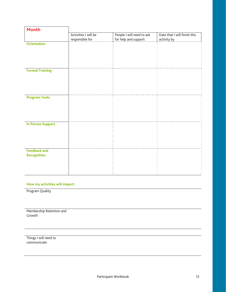| <b>Month</b>             |                                         |                                                   |                                             |
|--------------------------|-----------------------------------------|---------------------------------------------------|---------------------------------------------|
|                          | Activities I will be<br>responsible for | People I will need to ask<br>for help and support | Date that I will finish this<br>activity by |
| <b>Orientation</b>       |                                         |                                                   |                                             |
|                          |                                         |                                                   |                                             |
|                          |                                         |                                                   |                                             |
|                          |                                         |                                                   |                                             |
|                          |                                         |                                                   |                                             |
| <b>Formal Training</b>   |                                         |                                                   |                                             |
|                          |                                         |                                                   |                                             |
|                          |                                         |                                                   |                                             |
|                          |                                         |                                                   |                                             |
|                          |                                         |                                                   |                                             |
| <b>Program Tools</b>     |                                         |                                                   |                                             |
|                          |                                         |                                                   |                                             |
|                          |                                         |                                                   |                                             |
|                          |                                         |                                                   |                                             |
|                          |                                         |                                                   |                                             |
|                          |                                         |                                                   |                                             |
| <b>In Person Support</b> |                                         |                                                   |                                             |
|                          |                                         |                                                   |                                             |
|                          |                                         |                                                   |                                             |
|                          |                                         |                                                   |                                             |
|                          |                                         |                                                   |                                             |
| <b>Feedback and</b>      |                                         |                                                   |                                             |
| <b>Recognition</b>       |                                         |                                                   |                                             |
|                          |                                         |                                                   |                                             |
|                          |                                         |                                                   |                                             |
|                          |                                         |                                                   |                                             |

Program Quality

Membership Retention and Growth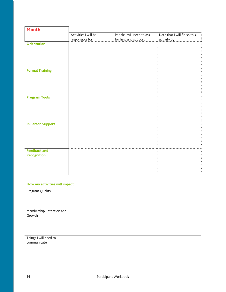| <b>Month</b>             |                                         |                                                   |                                             |
|--------------------------|-----------------------------------------|---------------------------------------------------|---------------------------------------------|
|                          | Activities I will be<br>responsible for | People I will need to ask<br>for help and support | Date that I will finish this<br>activity by |
| <b>Orientation</b>       |                                         |                                                   |                                             |
|                          |                                         |                                                   |                                             |
|                          |                                         |                                                   |                                             |
|                          |                                         |                                                   |                                             |
|                          |                                         |                                                   |                                             |
| <b>Formal Training</b>   |                                         |                                                   |                                             |
|                          |                                         |                                                   |                                             |
|                          |                                         |                                                   |                                             |
|                          |                                         |                                                   |                                             |
|                          |                                         |                                                   |                                             |
| <b>Program Tools</b>     |                                         |                                                   |                                             |
|                          |                                         |                                                   |                                             |
|                          |                                         |                                                   |                                             |
|                          |                                         |                                                   |                                             |
|                          |                                         |                                                   |                                             |
| <b>In Person Support</b> |                                         |                                                   |                                             |
|                          |                                         |                                                   |                                             |
|                          |                                         |                                                   |                                             |
|                          |                                         |                                                   |                                             |
|                          |                                         |                                                   |                                             |
| <b>Feedback and</b>      |                                         |                                                   |                                             |
| <b>Recognition</b>       |                                         |                                                   |                                             |
|                          |                                         |                                                   |                                             |
|                          |                                         |                                                   |                                             |
|                          |                                         |                                                   |                                             |

Program Quality

Membership Retention and Growth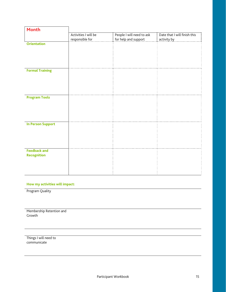| <b>Month</b>             |                                         |                                                   |                                             |
|--------------------------|-----------------------------------------|---------------------------------------------------|---------------------------------------------|
|                          | Activities I will be<br>responsible for | People I will need to ask<br>for help and support | Date that I will finish this<br>activity by |
| <b>Orientation</b>       |                                         |                                                   |                                             |
|                          |                                         |                                                   |                                             |
|                          |                                         |                                                   |                                             |
|                          |                                         |                                                   |                                             |
|                          |                                         |                                                   |                                             |
| <b>Formal Training</b>   |                                         |                                                   |                                             |
|                          |                                         |                                                   |                                             |
|                          |                                         |                                                   |                                             |
|                          |                                         |                                                   |                                             |
|                          |                                         |                                                   |                                             |
| <b>Program Tools</b>     |                                         |                                                   |                                             |
|                          |                                         |                                                   |                                             |
|                          |                                         |                                                   |                                             |
|                          |                                         |                                                   |                                             |
|                          |                                         |                                                   |                                             |
| <b>In Person Support</b> |                                         |                                                   |                                             |
|                          |                                         |                                                   |                                             |
|                          |                                         |                                                   |                                             |
|                          |                                         |                                                   |                                             |
|                          |                                         |                                                   |                                             |
| <b>Feedback and</b>      |                                         |                                                   |                                             |
| <b>Recognition</b>       |                                         |                                                   |                                             |
|                          |                                         |                                                   |                                             |
|                          |                                         |                                                   |                                             |
|                          |                                         |                                                   |                                             |

Program Quality

Membership Retention and Growth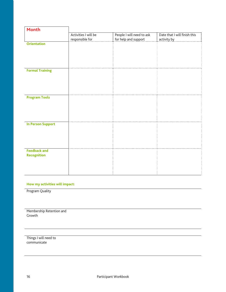| <b>Month</b>             |                                         |                                                   |                                             |
|--------------------------|-----------------------------------------|---------------------------------------------------|---------------------------------------------|
|                          | Activities I will be<br>responsible for | People I will need to ask<br>for help and support | Date that I will finish this<br>activity by |
| <b>Orientation</b>       |                                         |                                                   |                                             |
|                          |                                         |                                                   |                                             |
|                          |                                         |                                                   |                                             |
|                          |                                         |                                                   |                                             |
|                          |                                         |                                                   |                                             |
| <b>Formal Training</b>   |                                         |                                                   |                                             |
|                          |                                         |                                                   |                                             |
|                          |                                         |                                                   |                                             |
|                          |                                         |                                                   |                                             |
|                          |                                         |                                                   |                                             |
| <b>Program Tools</b>     |                                         |                                                   |                                             |
|                          |                                         |                                                   |                                             |
|                          |                                         |                                                   |                                             |
|                          |                                         |                                                   |                                             |
|                          |                                         |                                                   |                                             |
| <b>In Person Support</b> |                                         |                                                   |                                             |
|                          |                                         |                                                   |                                             |
|                          |                                         |                                                   |                                             |
|                          |                                         |                                                   |                                             |
|                          |                                         |                                                   |                                             |
| <b>Feedback and</b>      |                                         |                                                   |                                             |
| <b>Recognition</b>       |                                         |                                                   |                                             |
|                          |                                         |                                                   |                                             |
|                          |                                         |                                                   |                                             |
|                          |                                         |                                                   |                                             |

Program Quality

Membership Retention and Growth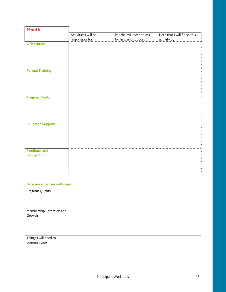| <b>Month</b>             |                                         |                                                   |                                             |
|--------------------------|-----------------------------------------|---------------------------------------------------|---------------------------------------------|
|                          | Activities I will be<br>responsible for | People I will need to ask<br>for help and support | Date that I will finish this<br>activity by |
| <b>Orientation</b>       |                                         |                                                   |                                             |
|                          |                                         |                                                   |                                             |
|                          |                                         |                                                   |                                             |
|                          |                                         |                                                   |                                             |
|                          |                                         |                                                   |                                             |
| <b>Formal Training</b>   |                                         |                                                   |                                             |
|                          |                                         |                                                   |                                             |
|                          |                                         |                                                   |                                             |
|                          |                                         |                                                   |                                             |
|                          |                                         |                                                   |                                             |
| <b>Program Tools</b>     |                                         |                                                   |                                             |
|                          |                                         |                                                   |                                             |
|                          |                                         |                                                   |                                             |
|                          |                                         |                                                   |                                             |
|                          |                                         |                                                   |                                             |
| <b>In Person Support</b> |                                         |                                                   |                                             |
|                          |                                         |                                                   |                                             |
|                          |                                         |                                                   |                                             |
|                          |                                         |                                                   |                                             |
|                          |                                         |                                                   |                                             |
| <b>Feedback and</b>      |                                         |                                                   |                                             |
| <b>Recognition</b>       |                                         |                                                   |                                             |
|                          |                                         |                                                   |                                             |
|                          |                                         |                                                   |                                             |
|                          |                                         |                                                   |                                             |

Program Quality

Membership Retention and Growth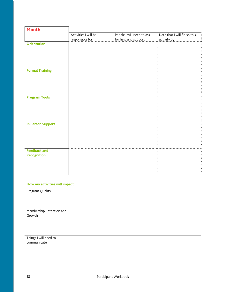| <b>Month</b>             |                      |                           |                              |
|--------------------------|----------------------|---------------------------|------------------------------|
|                          | Activities I will be | People I will need to ask | Date that I will finish this |
|                          | responsible for      | for help and support      | activity by                  |
| <b>Orientation</b>       |                      |                           |                              |
|                          |                      |                           |                              |
|                          |                      |                           |                              |
|                          |                      |                           |                              |
|                          |                      |                           |                              |
| <b>Formal Training</b>   |                      |                           |                              |
|                          |                      |                           |                              |
|                          |                      |                           |                              |
|                          |                      |                           |                              |
|                          |                      |                           |                              |
|                          |                      |                           |                              |
| <b>Program Tools</b>     |                      |                           |                              |
|                          |                      |                           |                              |
|                          |                      |                           |                              |
|                          |                      |                           |                              |
|                          |                      |                           |                              |
| <b>In Person Support</b> |                      |                           |                              |
|                          |                      |                           |                              |
|                          |                      |                           |                              |
|                          |                      |                           |                              |
|                          |                      |                           |                              |
|                          |                      |                           |                              |
| <b>Feedback and</b>      |                      |                           |                              |
| <b>Recognition</b>       |                      |                           |                              |
|                          |                      |                           |                              |
|                          |                      |                           |                              |
|                          |                      |                           |                              |

Program Quality

Membership Retention and Growth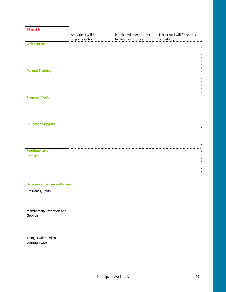| <b>Month</b>             |                                         |                                                   |                                             |
|--------------------------|-----------------------------------------|---------------------------------------------------|---------------------------------------------|
|                          | Activities I will be<br>responsible for | People I will need to ask<br>for help and support | Date that I will finish this<br>activity by |
| <b>Orientation</b>       |                                         |                                                   |                                             |
|                          |                                         |                                                   |                                             |
|                          |                                         |                                                   |                                             |
|                          |                                         |                                                   |                                             |
|                          |                                         |                                                   |                                             |
| <b>Formal Training</b>   |                                         |                                                   |                                             |
|                          |                                         |                                                   |                                             |
|                          |                                         |                                                   |                                             |
|                          |                                         |                                                   |                                             |
|                          |                                         |                                                   |                                             |
| <b>Program Tools</b>     |                                         |                                                   |                                             |
|                          |                                         |                                                   |                                             |
|                          |                                         |                                                   |                                             |
|                          |                                         |                                                   |                                             |
|                          |                                         |                                                   |                                             |
| <b>In Person Support</b> |                                         |                                                   |                                             |
|                          |                                         |                                                   |                                             |
|                          |                                         |                                                   |                                             |
|                          |                                         |                                                   |                                             |
|                          |                                         |                                                   |                                             |
| <b>Feedback and</b>      |                                         |                                                   |                                             |
| <b>Recognition</b>       |                                         |                                                   |                                             |
|                          |                                         |                                                   |                                             |
|                          |                                         |                                                   |                                             |
|                          |                                         |                                                   |                                             |

Program Quality

Membership Retention and Growth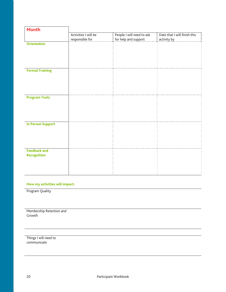| <b>Month</b>             |                                         |                                                   |                                             |
|--------------------------|-----------------------------------------|---------------------------------------------------|---------------------------------------------|
|                          | Activities I will be<br>responsible for | People I will need to ask<br>for help and support | Date that I will finish this<br>activity by |
| <b>Orientation</b>       |                                         |                                                   |                                             |
|                          |                                         |                                                   |                                             |
|                          |                                         |                                                   |                                             |
|                          |                                         |                                                   |                                             |
|                          |                                         |                                                   |                                             |
| <b>Formal Training</b>   |                                         |                                                   |                                             |
|                          |                                         |                                                   |                                             |
|                          |                                         |                                                   |                                             |
|                          |                                         |                                                   |                                             |
|                          |                                         |                                                   |                                             |
| <b>Program Tools</b>     |                                         |                                                   |                                             |
|                          |                                         |                                                   |                                             |
|                          |                                         |                                                   |                                             |
|                          |                                         |                                                   |                                             |
|                          |                                         |                                                   |                                             |
| <b>In Person Support</b> |                                         |                                                   |                                             |
|                          |                                         |                                                   |                                             |
|                          |                                         |                                                   |                                             |
|                          |                                         |                                                   |                                             |
|                          |                                         |                                                   |                                             |
| <b>Feedback and</b>      |                                         |                                                   |                                             |
| <b>Recognition</b>       |                                         |                                                   |                                             |
|                          |                                         |                                                   |                                             |
|                          |                                         |                                                   |                                             |
|                          |                                         |                                                   |                                             |

Program Quality

Membership Retention and Growth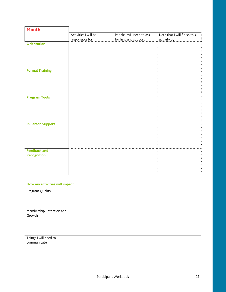| <b>Month</b>             |                                         |                                                   |                                             |
|--------------------------|-----------------------------------------|---------------------------------------------------|---------------------------------------------|
|                          | Activities I will be<br>responsible for | People I will need to ask<br>for help and support | Date that I will finish this<br>activity by |
| <b>Orientation</b>       |                                         |                                                   |                                             |
|                          |                                         |                                                   |                                             |
|                          |                                         |                                                   |                                             |
|                          |                                         |                                                   |                                             |
|                          |                                         |                                                   |                                             |
| <b>Formal Training</b>   |                                         |                                                   |                                             |
|                          |                                         |                                                   |                                             |
|                          |                                         |                                                   |                                             |
|                          |                                         |                                                   |                                             |
|                          |                                         |                                                   |                                             |
| <b>Program Tools</b>     |                                         |                                                   |                                             |
|                          |                                         |                                                   |                                             |
|                          |                                         |                                                   |                                             |
|                          |                                         |                                                   |                                             |
|                          |                                         |                                                   |                                             |
| <b>In Person Support</b> |                                         |                                                   |                                             |
|                          |                                         |                                                   |                                             |
|                          |                                         |                                                   |                                             |
|                          |                                         |                                                   |                                             |
|                          |                                         |                                                   |                                             |
| <b>Feedback and</b>      |                                         |                                                   |                                             |
| <b>Recognition</b>       |                                         |                                                   |                                             |
|                          |                                         |                                                   |                                             |
|                          |                                         |                                                   |                                             |
|                          |                                         |                                                   |                                             |

Program Quality

Membership Retention and Growth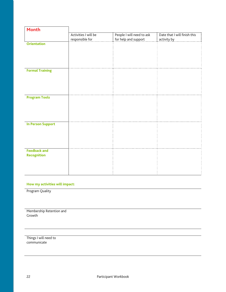| <b>Month</b>             |                      |                           |                              |
|--------------------------|----------------------|---------------------------|------------------------------|
|                          | Activities I will be | People I will need to ask | Date that I will finish this |
|                          | responsible for      | for help and support      | activity by                  |
| <b>Orientation</b>       |                      |                           |                              |
|                          |                      |                           |                              |
|                          |                      |                           |                              |
|                          |                      |                           |                              |
|                          |                      |                           |                              |
| <b>Formal Training</b>   |                      |                           |                              |
|                          |                      |                           |                              |
|                          |                      |                           |                              |
|                          |                      |                           |                              |
|                          |                      |                           |                              |
|                          |                      |                           |                              |
| <b>Program Tools</b>     |                      |                           |                              |
|                          |                      |                           |                              |
|                          |                      |                           |                              |
|                          |                      |                           |                              |
|                          |                      |                           |                              |
| <b>In Person Support</b> |                      |                           |                              |
|                          |                      |                           |                              |
|                          |                      |                           |                              |
|                          |                      |                           |                              |
|                          |                      |                           |                              |
|                          |                      |                           |                              |
| <b>Feedback and</b>      |                      |                           |                              |
| <b>Recognition</b>       |                      |                           |                              |
|                          |                      |                           |                              |
|                          |                      |                           |                              |
|                          |                      |                           |                              |

Program Quality

Membership Retention and Growth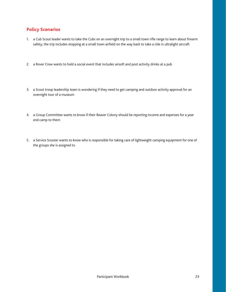#### **Policy Scenarios**

- 1. a Cub Scout leader wants to take the Cubs on an overnight trip to a small town rifle range to learn about firearm safety; the trip includes stopping at a small town airfield on the way back to take a ride in ultralight aircraft
- 2. a Rover Crew wants to hold a social event that includes airsoft and post activity drinks at a pub
- 3. a Scout troop leadership team is wondering if they need to get camping and outdoor activity approval for an overnight tour of a museum
- 4. a Group Committee wants to know if their Beaver Colony should be reporting income and expenses for a year end camp to them
- 5. a Service Scouter wants to know who is responsible for taking care of lightweight camping equipment for one of the groups she is assigned to